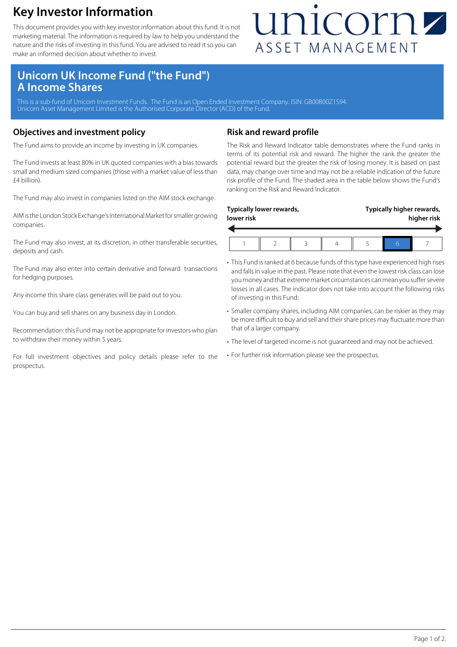### **Key Investor Information**

This document provides you with key investor information about this fund. It is not marketing material. The information is required by law to help you understand the nature and the risks of investing in this fund. You are advised to read it so you can make an informed decision about whether to invest.

## unicornz ASSET MANAGEMENT

### **Unicorn UK Income Fund ("the Fund") A Income Shares**

This is a sub-fund of Unicorn Investment Funds. The Fund is an Open Ended Investment Company. ISIN: GB00B00Z1S94. Unicorn Asset Management Limited is the Authorised Corporate Director (ACD) of the Fund.

#### **Objectives and investment policy**

The Fund aims to provide an income by investing in UK companies.

The Fund invests at least 80% in UK quoted companies with a bias towards small and medium sized companies (those with a market value of less than £4 billion).

The Fund may also invest in companies listed on the AIM stock exchange.

AIM is the London Stock Exchange's International Market for smaller growing companies.

The Fund may also invest, at its discretion, in other transferable securities, deposits and cash.

The Fund may also enter into certain derivative and forward transactions for hedging purposes.

Any income this share class generates will be paid out to you.

You can buy and sell shares on any business day in London.

Recommendation: this Fund may not be appropriate for investors who plan to withdraw their money within 5 years.

For full investment objectives and policy details please refer to the prospectus.

#### **Risk and reward profile**

The Risk and Reward Indicator table demonstrates where the Fund ranks in terms of its potential risk and reward. The higher the rank the greater the potential reward but the greater the risk of losing money. It is based on past data, may change over time and may not be a reliable indication of the future risk profile of the Fund. The shaded area in the table below shows the Fund's ranking on the Risk and Reward Indicator.

| Typically lower rewards,<br>lower risk |  |  | Typically higher rewards,<br>higher risk |
|----------------------------------------|--|--|------------------------------------------|
|                                        |  |  |                                          |

- This Fund is ranked at 6 because funds of this type have experienced high rises and falls in value in the past. Please note that even the lowest risk class can lose you money and that extreme market circumstances can mean you suffer severe losses in all cases. The indicator does not take into account the following risks of investing in this Fund:
- Smaller company shares, including AIM companies, can be riskier as they may be more difficult to buy and sell and their share prices may fluctuate more than that of a larger company.
- The level of targeted income is not guaranteed and may not be achieved.
- For further risk information please see the prospectus.